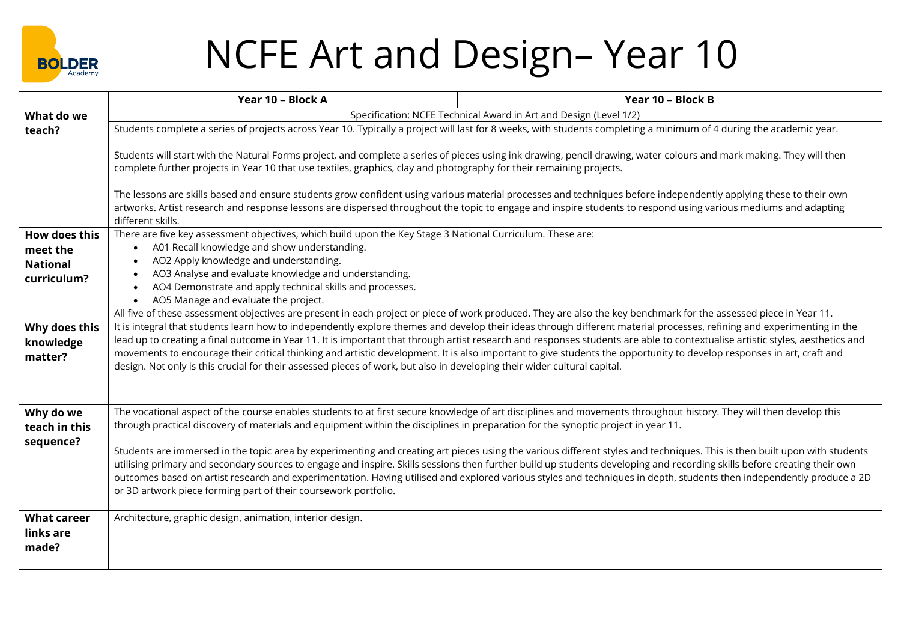

## NCFE Art and Design– Year 10

|                    | Year 10 - Block A                                                                                                                                                                                                                                                                                                                                       | Year 10 - Block B                                                                                                                                                                                                                                                                                                                                    |  |
|--------------------|---------------------------------------------------------------------------------------------------------------------------------------------------------------------------------------------------------------------------------------------------------------------------------------------------------------------------------------------------------|------------------------------------------------------------------------------------------------------------------------------------------------------------------------------------------------------------------------------------------------------------------------------------------------------------------------------------------------------|--|
| What do we         | Specification: NCFE Technical Award in Art and Design (Level 1/2)                                                                                                                                                                                                                                                                                       |                                                                                                                                                                                                                                                                                                                                                      |  |
| teach?             | Students complete a series of projects across Year 10. Typically a project will last for 8 weeks, with students completing a minimum of 4 during the academic year.                                                                                                                                                                                     |                                                                                                                                                                                                                                                                                                                                                      |  |
|                    | Students will start with the Natural Forms project, and complete a series of pieces using ink drawing, pencil drawing, water colours and mark making. They will then                                                                                                                                                                                    |                                                                                                                                                                                                                                                                                                                                                      |  |
|                    | complete further projects in Year 10 that use textiles, graphics, clay and photography for their remaining projects.                                                                                                                                                                                                                                    |                                                                                                                                                                                                                                                                                                                                                      |  |
|                    | The lessons are skills based and ensure students grow confident using various material processes and techniques before independently applying these to their own                                                                                                                                                                                        |                                                                                                                                                                                                                                                                                                                                                      |  |
|                    | artworks. Artist research and response lessons are dispersed throughout the topic to engage and inspire students to respond using various mediums and adapting<br>different skills.                                                                                                                                                                     |                                                                                                                                                                                                                                                                                                                                                      |  |
| How does this      | There are five key assessment objectives, which build upon the Key Stage 3 National Curriculum. These are:                                                                                                                                                                                                                                              |                                                                                                                                                                                                                                                                                                                                                      |  |
| meet the           | A01 Recall knowledge and show understanding.<br>$\bullet$                                                                                                                                                                                                                                                                                               |                                                                                                                                                                                                                                                                                                                                                      |  |
| <b>National</b>    | AO2 Apply knowledge and understanding.                                                                                                                                                                                                                                                                                                                  |                                                                                                                                                                                                                                                                                                                                                      |  |
| curriculum?        | AO3 Analyse and evaluate knowledge and understanding.                                                                                                                                                                                                                                                                                                   |                                                                                                                                                                                                                                                                                                                                                      |  |
|                    | AO4 Demonstrate and apply technical skills and processes.                                                                                                                                                                                                                                                                                               |                                                                                                                                                                                                                                                                                                                                                      |  |
|                    | AO5 Manage and evaluate the project.<br>$\bullet$                                                                                                                                                                                                                                                                                                       |                                                                                                                                                                                                                                                                                                                                                      |  |
| Why does this      |                                                                                                                                                                                                                                                                                                                                                         | All five of these assessment objectives are present in each project or piece of work produced. They are also the key benchmark for the assessed piece in Year 11.                                                                                                                                                                                    |  |
| knowledge          | It is integral that students learn how to independently explore themes and develop their ideas through different material processes, refining and experimenting in the<br>lead up to creating a final outcome in Year 11. It is important that through artist research and responses students are able to contextualise artistic styles, aesthetics and |                                                                                                                                                                                                                                                                                                                                                      |  |
| matter?            | movements to encourage their critical thinking and artistic development. It is also important to give students the opportunity to develop responses in art, craft and                                                                                                                                                                                   |                                                                                                                                                                                                                                                                                                                                                      |  |
|                    | design. Not only is this crucial for their assessed pieces of work, but also in developing their wider cultural capital.                                                                                                                                                                                                                                |                                                                                                                                                                                                                                                                                                                                                      |  |
|                    |                                                                                                                                                                                                                                                                                                                                                         |                                                                                                                                                                                                                                                                                                                                                      |  |
|                    |                                                                                                                                                                                                                                                                                                                                                         |                                                                                                                                                                                                                                                                                                                                                      |  |
| Why do we          |                                                                                                                                                                                                                                                                                                                                                         | The vocational aspect of the course enables students to at first secure knowledge of art disciplines and movements throughout history. They will then develop this                                                                                                                                                                                   |  |
| teach in this      | through practical discovery of materials and equipment within the disciplines in preparation for the synoptic project in year 11.                                                                                                                                                                                                                       |                                                                                                                                                                                                                                                                                                                                                      |  |
| sequence?          |                                                                                                                                                                                                                                                                                                                                                         |                                                                                                                                                                                                                                                                                                                                                      |  |
|                    |                                                                                                                                                                                                                                                                                                                                                         | Students are immersed in the topic area by experimenting and creating art pieces using the various different styles and techniques. This is then built upon with students<br>utilising primary and secondary sources to engage and inspire. Skills sessions then further build up students developing and recording skills before creating their own |  |
|                    |                                                                                                                                                                                                                                                                                                                                                         | outcomes based on artist research and experimentation. Having utilised and explored various styles and techniques in depth, students then independently produce a 2D                                                                                                                                                                                 |  |
|                    | or 3D artwork piece forming part of their coursework portfolio.                                                                                                                                                                                                                                                                                         |                                                                                                                                                                                                                                                                                                                                                      |  |
|                    |                                                                                                                                                                                                                                                                                                                                                         |                                                                                                                                                                                                                                                                                                                                                      |  |
| <b>What career</b> | Architecture, graphic design, animation, interior design.                                                                                                                                                                                                                                                                                               |                                                                                                                                                                                                                                                                                                                                                      |  |
| links are          |                                                                                                                                                                                                                                                                                                                                                         |                                                                                                                                                                                                                                                                                                                                                      |  |
| made?              |                                                                                                                                                                                                                                                                                                                                                         |                                                                                                                                                                                                                                                                                                                                                      |  |
|                    |                                                                                                                                                                                                                                                                                                                                                         |                                                                                                                                                                                                                                                                                                                                                      |  |